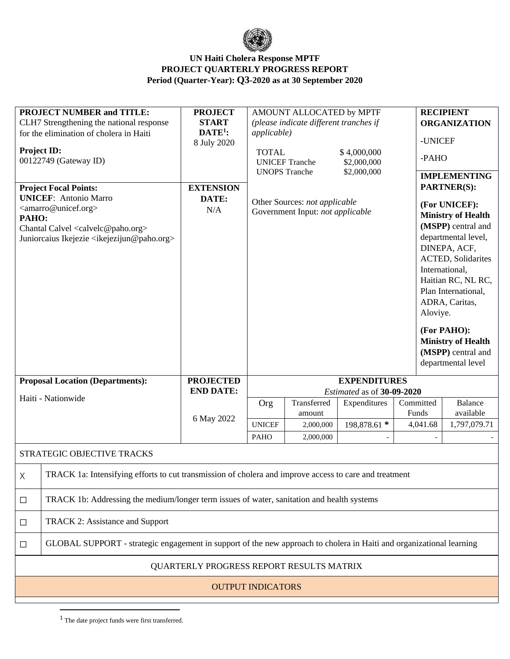

| <b>PROJECT NUMBER and TITLE:</b><br>CLH7 Strengthening the national response<br>for the elimination of cholera in Haiti<br><b>Project ID:</b><br>00122749 (Gateway ID)<br><b>Project Focal Points:</b><br><b>UNICEF:</b> Antonio Marro<br><amarro@unicef.org><br/>PAHO:<br/>Chantal Calvel <calvelc@paho.org><br/>Juniorcaius Ikejezie <ikejezijun@paho.org></ikejezijun@paho.org></calvelc@paho.org></amarro@unicef.org> |                                                                                                                      | <b>PROJECT</b><br><b>START</b><br>$\mathbf{DATE}^1$ :<br>8 July 2020<br><b>EXTENSION</b><br>DATE:<br>N/A | AMOUNT ALLOCATED by MPTF<br>(please indicate different tranches if<br><i>applicable</i> )<br><b>TOTAL</b><br>\$4,000,000<br><b>UNICEF Tranche</b><br>\$2,000,000<br><b>UNOPS</b> Tranche<br>\$2,000,000<br>Other Sources: not applicable<br>Government Input: not applicable |                                    |                                                                                   |                                | <b>RECIPIENT</b><br><b>ORGANIZATION</b><br>-UNICEF<br>-PAHO<br><b>IMPLEMENTING</b><br>PARTNER(S):<br>(For UNICEF):<br><b>Ministry of Health</b><br>(MSPP) central and<br>departmental level,<br>DINEPA, ACF,<br><b>ACTED</b> , Solidarites<br>International,<br>Haitian RC, NL RC,<br>Plan International,<br>ADRA, Caritas,<br>Aloviye.<br>(For PAHO):<br><b>Ministry of Health</b><br>(MSPP) central and<br>departmental level |                                             |
|---------------------------------------------------------------------------------------------------------------------------------------------------------------------------------------------------------------------------------------------------------------------------------------------------------------------------------------------------------------------------------------------------------------------------|----------------------------------------------------------------------------------------------------------------------|----------------------------------------------------------------------------------------------------------|------------------------------------------------------------------------------------------------------------------------------------------------------------------------------------------------------------------------------------------------------------------------------|------------------------------------|-----------------------------------------------------------------------------------|--------------------------------|---------------------------------------------------------------------------------------------------------------------------------------------------------------------------------------------------------------------------------------------------------------------------------------------------------------------------------------------------------------------------------------------------------------------------------|---------------------------------------------|
| <b>Proposal Location (Departments):</b><br>Haiti - Nationwide                                                                                                                                                                                                                                                                                                                                                             |                                                                                                                      | <b>PROJECTED</b><br><b>END DATE:</b><br>6 May 2022                                                       | Org<br><b>UNICEF</b>                                                                                                                                                                                                                                                         | Transferred<br>amount<br>2,000,000 | <b>EXPENDITURES</b><br>Estimated as of 30-09-2020<br>Expenditures<br>198,878.61 * | Committed<br>Funds<br>4,041.68 |                                                                                                                                                                                                                                                                                                                                                                                                                                 | <b>Balance</b><br>available<br>1,797,079.71 |
|                                                                                                                                                                                                                                                                                                                                                                                                                           |                                                                                                                      |                                                                                                          | <b>PAHO</b>                                                                                                                                                                                                                                                                  | 2,000,000                          |                                                                                   |                                |                                                                                                                                                                                                                                                                                                                                                                                                                                 |                                             |
|                                                                                                                                                                                                                                                                                                                                                                                                                           | STRATEGIC OBJECTIVE TRACKS                                                                                           |                                                                                                          |                                                                                                                                                                                                                                                                              |                                    |                                                                                   |                                |                                                                                                                                                                                                                                                                                                                                                                                                                                 |                                             |
| Χ                                                                                                                                                                                                                                                                                                                                                                                                                         | TRACK 1a: Intensifying efforts to cut transmission of cholera and improve access to care and treatment               |                                                                                                          |                                                                                                                                                                                                                                                                              |                                    |                                                                                   |                                |                                                                                                                                                                                                                                                                                                                                                                                                                                 |                                             |
| $\Box$                                                                                                                                                                                                                                                                                                                                                                                                                    | TRACK 1b: Addressing the medium/longer term issues of water, sanitation and health systems                           |                                                                                                          |                                                                                                                                                                                                                                                                              |                                    |                                                                                   |                                |                                                                                                                                                                                                                                                                                                                                                                                                                                 |                                             |
| $\Box$                                                                                                                                                                                                                                                                                                                                                                                                                    | TRACK 2: Assistance and Support                                                                                      |                                                                                                          |                                                                                                                                                                                                                                                                              |                                    |                                                                                   |                                |                                                                                                                                                                                                                                                                                                                                                                                                                                 |                                             |
| ⊔                                                                                                                                                                                                                                                                                                                                                                                                                         | GLOBAL SUPPORT - strategic engagement in support of the new approach to cholera in Haiti and organizational learning |                                                                                                          |                                                                                                                                                                                                                                                                              |                                    |                                                                                   |                                |                                                                                                                                                                                                                                                                                                                                                                                                                                 |                                             |
| QUARTERLY PROGRESS REPORT RESULTS MATRIX                                                                                                                                                                                                                                                                                                                                                                                  |                                                                                                                      |                                                                                                          |                                                                                                                                                                                                                                                                              |                                    |                                                                                   |                                |                                                                                                                                                                                                                                                                                                                                                                                                                                 |                                             |
| <b>OUTPUT INDICATORS</b>                                                                                                                                                                                                                                                                                                                                                                                                  |                                                                                                                      |                                                                                                          |                                                                                                                                                                                                                                                                              |                                    |                                                                                   |                                |                                                                                                                                                                                                                                                                                                                                                                                                                                 |                                             |
|                                                                                                                                                                                                                                                                                                                                                                                                                           |                                                                                                                      |                                                                                                          |                                                                                                                                                                                                                                                                              |                                    |                                                                                   |                                |                                                                                                                                                                                                                                                                                                                                                                                                                                 |                                             |

<sup>1</sup> The date project funds were first transferred.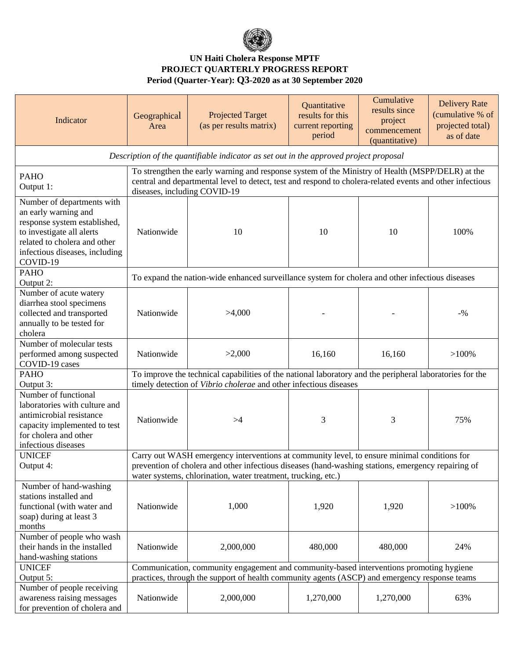

| Indicator                                                                                                                                                                                     | Geographical<br>Area                                                                                                                                                                                                                                               | <b>Projected Target</b><br>(as per results matrix) | Quantitative<br>results for this<br>current reporting<br>period | Cumulative<br>results since<br>project<br>commencement<br>(quantitative) | <b>Delivery Rate</b><br>(cumulative % of<br>projected total)<br>as of date |  |
|-----------------------------------------------------------------------------------------------------------------------------------------------------------------------------------------------|--------------------------------------------------------------------------------------------------------------------------------------------------------------------------------------------------------------------------------------------------------------------|----------------------------------------------------|-----------------------------------------------------------------|--------------------------------------------------------------------------|----------------------------------------------------------------------------|--|
| Description of the quantifiable indicator as set out in the approved project proposal                                                                                                         |                                                                                                                                                                                                                                                                    |                                                    |                                                                 |                                                                          |                                                                            |  |
| <b>PAHO</b><br>Output 1:                                                                                                                                                                      | To strengthen the early warning and response system of the Ministry of Health (MSPP/DELR) at the<br>central and departmental level to detect, test and respond to cholera-related events and other infectious<br>diseases, including COVID-19                      |                                                    |                                                                 |                                                                          |                                                                            |  |
| Number of departments with<br>an early warning and<br>response system established,<br>to investigate all alerts<br>related to cholera and other<br>infectious diseases, including<br>COVID-19 | Nationwide                                                                                                                                                                                                                                                         | 10                                                 | 10                                                              | 10                                                                       | 100%                                                                       |  |
| <b>PAHO</b><br>Output 2:                                                                                                                                                                      | To expand the nation-wide enhanced surveillance system for cholera and other infectious diseases                                                                                                                                                                   |                                                    |                                                                 |                                                                          |                                                                            |  |
| Number of acute watery<br>diarrhea stool specimens<br>collected and transported<br>annually to be tested for<br>cholera                                                                       | Nationwide                                                                                                                                                                                                                                                         | >4,000                                             |                                                                 |                                                                          | $-9/0$                                                                     |  |
| Number of molecular tests<br>performed among suspected<br>COVID-19 cases                                                                                                                      | Nationwide                                                                                                                                                                                                                                                         | >2,000                                             | 16,160                                                          | 16,160                                                                   | $>100\%$                                                                   |  |
| <b>PAHO</b>                                                                                                                                                                                   | To improve the technical capabilities of the national laboratory and the peripheral laboratories for the<br>timely detection of Vibrio cholerae and other infectious diseases                                                                                      |                                                    |                                                                 |                                                                          |                                                                            |  |
| Output 3:<br>Number of functional<br>laboratories with culture and<br>antimicrobial resistance<br>capacity implemented to test<br>for cholera and other<br>infectious diseases                | Nationwide                                                                                                                                                                                                                                                         | >4                                                 | 3                                                               | 3                                                                        | 75%                                                                        |  |
| <b>UNICEF</b><br>Output 4:                                                                                                                                                                    | Carry out WASH emergency interventions at community level, to ensure minimal conditions for<br>prevention of cholera and other infectious diseases (hand-washing stations, emergency repairing of<br>water systems, chlorination, water treatment, trucking, etc.) |                                                    |                                                                 |                                                                          |                                                                            |  |
| Number of hand-washing<br>stations installed and<br>functional (with water and<br>soap) during at least 3<br>months                                                                           | Nationwide                                                                                                                                                                                                                                                         | 1,000                                              | 1,920                                                           | 1,920                                                                    | $>100\%$                                                                   |  |
| Number of people who wash<br>their hands in the installed<br>hand-washing stations                                                                                                            | Nationwide                                                                                                                                                                                                                                                         | 2,000,000                                          | 480,000                                                         | 480,000                                                                  | 24%                                                                        |  |
| <b>UNICEF</b><br>Output 5:                                                                                                                                                                    | Communication, community engagement and community-based interventions promoting hygiene<br>practices, through the support of health community agents (ASCP) and emergency response teams                                                                           |                                                    |                                                                 |                                                                          |                                                                            |  |
| Number of people receiving<br>awareness raising messages<br>for prevention of cholera and                                                                                                     | Nationwide                                                                                                                                                                                                                                                         | 2,000,000                                          | 1,270,000                                                       | 1,270,000                                                                | 63%                                                                        |  |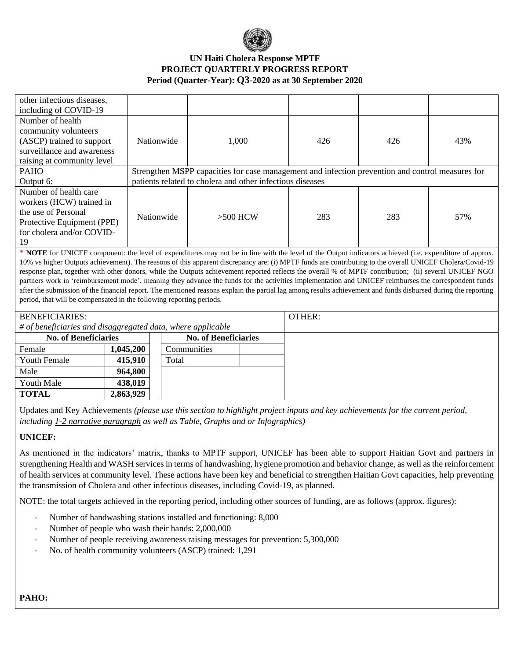

| other infectious diseases.                                                                                                                                     |           |                                                                                                  |                             |  |        |     |     |  |
|----------------------------------------------------------------------------------------------------------------------------------------------------------------|-----------|--------------------------------------------------------------------------------------------------|-----------------------------|--|--------|-----|-----|--|
| including of COVID-19                                                                                                                                          |           |                                                                                                  |                             |  |        |     |     |  |
| Number of health                                                                                                                                               |           |                                                                                                  |                             |  |        |     |     |  |
| community volunteers                                                                                                                                           |           |                                                                                                  |                             |  |        |     |     |  |
| (ASCP) trained to support                                                                                                                                      |           | Nationwide                                                                                       | 1,000                       |  | 426    | 426 | 43% |  |
| surveillance and awareness                                                                                                                                     |           |                                                                                                  |                             |  |        |     |     |  |
| raising at community level                                                                                                                                     |           |                                                                                                  |                             |  |        |     |     |  |
| <b>PAHO</b>                                                                                                                                                    |           | Strengthen MSPP capacities for case management and infection prevention and control measures for |                             |  |        |     |     |  |
| Output 6:                                                                                                                                                      |           | patients related to cholera and other infectious diseases                                        |                             |  |        |     |     |  |
| Number of health care                                                                                                                                          |           |                                                                                                  |                             |  |        |     |     |  |
| workers (HCW) trained in                                                                                                                                       |           |                                                                                                  |                             |  | 283    | 283 | 57% |  |
| the use of Personal                                                                                                                                            |           |                                                                                                  | $>500$ HCW                  |  |        |     |     |  |
| Protective Equipment (PPE)                                                                                                                                     |           | Nationwide                                                                                       |                             |  |        |     |     |  |
| for cholera and/or COVID-                                                                                                                                      |           |                                                                                                  |                             |  |        |     |     |  |
| 19                                                                                                                                                             |           |                                                                                                  |                             |  |        |     |     |  |
| * NOTE for UNICEF component: the level of expenditures may not be in line with the level of the Output indicators achieved (i.e. expenditure of approx.        |           |                                                                                                  |                             |  |        |     |     |  |
| 10% vs higher Outputs achievement). The reasons of this apparent discrepancy are: (i) MPTF funds are contributing to the overall UNICEF Cholera/Covid-19       |           |                                                                                                  |                             |  |        |     |     |  |
| response plan, together with other donors, while the Outputs achievement reported reflects the overall % of MPTF contribution; (ii) several UNICEF NGO         |           |                                                                                                  |                             |  |        |     |     |  |
| partners work in 'reimbursement mode', meaning they advance the funds for the activities implementation and UNICEF reimburses the correspondent funds          |           |                                                                                                  |                             |  |        |     |     |  |
| after the submission of the financial report. The mentioned reasons explain the partial lag among results achievement and funds disbursed during the reporting |           |                                                                                                  |                             |  |        |     |     |  |
| period, that will be compensated in the following reporting periods.                                                                                           |           |                                                                                                  |                             |  |        |     |     |  |
|                                                                                                                                                                |           |                                                                                                  |                             |  |        |     |     |  |
| <b>BENEFICIARIES:</b>                                                                                                                                          |           |                                                                                                  |                             |  | OTHER: |     |     |  |
| # of beneficiaries and disaggregated data, where applicable                                                                                                    |           |                                                                                                  |                             |  |        |     |     |  |
| <b>No. of Beneficiaries</b>                                                                                                                                    |           |                                                                                                  | <b>No. of Beneficiaries</b> |  |        |     |     |  |
| Female                                                                                                                                                         | 1,045,200 |                                                                                                  | Communities                 |  |        |     |     |  |
| <b>Youth Female</b>                                                                                                                                            | 415,910   | Total                                                                                            |                             |  |        |     |     |  |

Youth Male **438,019 TOTAL 2,863,929** Updates and Key Achievements *(please use this section to highlight project inputs and key achievements for the current period, including 1-2 narrative paragraph as well as Table, Graphs and or Infographics)*

**UNICEF:**

Male **964,800**

As mentioned in the indicators' matrix, thanks to MPTF support, UNICEF has been able to support Haitian Govt and partners in strengthening Health and WASH services in terms of handwashing, hygiene promotion and behavior change, as well as the reinforcement of health services at community level. These actions have been key and beneficial to strengthen Haitian Govt capacities, help preventing the transmission of Cholera and other infectious diseases, including Covid-19, as planned.

NOTE: the total targets achieved in the reporting period, including other sources of funding, are as follows (approx. figures):

- Number of handwashing stations installed and functioning: 8,000
- Number of people who wash their hands: 2,000,000
- Number of people receiving awareness raising messages for prevention: 5,300,000
- No. of health community volunteers (ASCP) trained: 1,291

#### **PAHO:**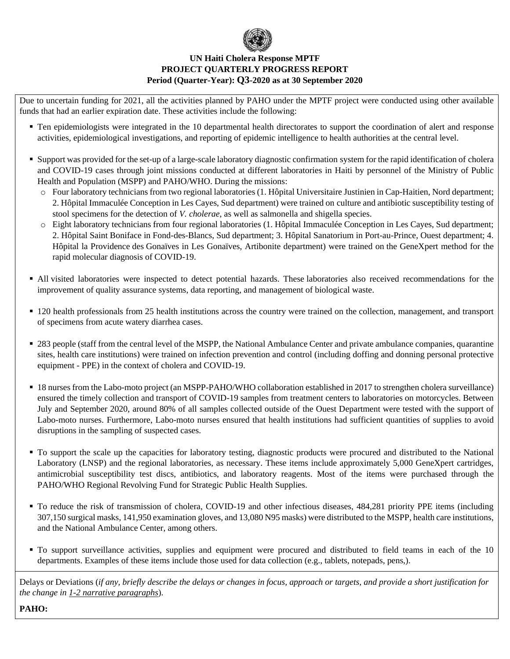

Due to uncertain funding for 2021, all the activities planned by PAHO under the MPTF project were conducted using other available funds that had an earlier expiration date. These activities include the following:

- Ten epidemiologists were integrated in the 10 departmental health directorates to support the coordination of alert and response activities, epidemiological investigations, and reporting of epidemic intelligence to health authorities at the central level.
- Support was provided for the set-up of a large-scale laboratory diagnostic confirmation system for the rapid identification of cholera and COVID-19 cases through joint missions conducted at different laboratories in Haiti by personnel of the Ministry of Public Health and Population (MSPP) and PAHO/WHO. During the missions:
	- o Four laboratory technicians from two regional laboratories (1. Hôpital Universitaire Justinien in Cap-Haitien, Nord department; 2. Hôpital Immaculée Conception in Les Cayes, Sud department) were trained on culture and antibiotic susceptibility testing of stool specimens for the detection of *V. cholerae*, as well as salmonella and shigella species.
	- o Eight laboratory technicians from four regional laboratories (1. Hôpital Immaculée Conception in Les Cayes, Sud department; 2. Hôpital Saint Boniface in Fond-des-Blancs, Sud department; 3. Hôpital Sanatorium in Port-au-Prince, Ouest department; 4. Hôpital la Providence des Gonaïves in Les Gonaïves, Artibonite department) were trained on the GeneXpert method for the rapid molecular diagnosis of COVID-19.
- All visited laboratories were inspected to detect potential hazards. These laboratories also received recommendations for the improvement of quality assurance systems, data reporting, and management of biological waste.
- 120 health professionals from 25 health institutions across the country were trained on the collection, management, and transport of specimens from acute watery diarrhea cases.
- 283 people (staff from the central level of the MSPP, the National Ambulance Center and private ambulance companies, quarantine sites, health care institutions) were trained on infection prevention and control (including doffing and donning personal protective equipment - PPE) in the context of cholera and COVID-19.
- 18 nurses from the Labo-moto project (an MSPP-PAHO/WHO collaboration established in 2017 to strengthen cholera surveillance) ensured the timely collection and transport of COVID-19 samples from treatment centers to laboratories on motorcycles. Between July and September 2020, around 80% of all samples collected outside of the Ouest Department were tested with the support of Labo-moto nurses. Furthermore, Labo-moto nurses ensured that health institutions had sufficient quantities of supplies to avoid disruptions in the sampling of suspected cases.
- To support the scale up the capacities for laboratory testing, diagnostic products were procured and distributed to the National Laboratory (LNSP) and the regional laboratories, as necessary. These items include approximately 5,000 GeneXpert cartridges, antimicrobial susceptibility test discs, antibiotics, and laboratory reagents. Most of the items were purchased through the PAHO/WHO Regional Revolving Fund for Strategic Public Health Supplies.
- To reduce the risk of transmission of cholera, COVID-19 and other infectious diseases, 484,281 priority PPE items (including 307,150 surgical masks, 141,950 examination gloves, and 13,080 N95 masks) were distributed to the MSPP, health care institutions, and the National Ambulance Center, among others.
- To support surveillance activities, supplies and equipment were procured and distributed to field teams in each of the 10 departments. Examples of these items include those used for data collection (e.g., tablets, notepads, pens,).

Delays or Deviations (*if any, briefly describe the delays or changes in focus, approach or targets, and provide a short justification for the change in 1-2 narrative paragraphs*).

**PAHO:**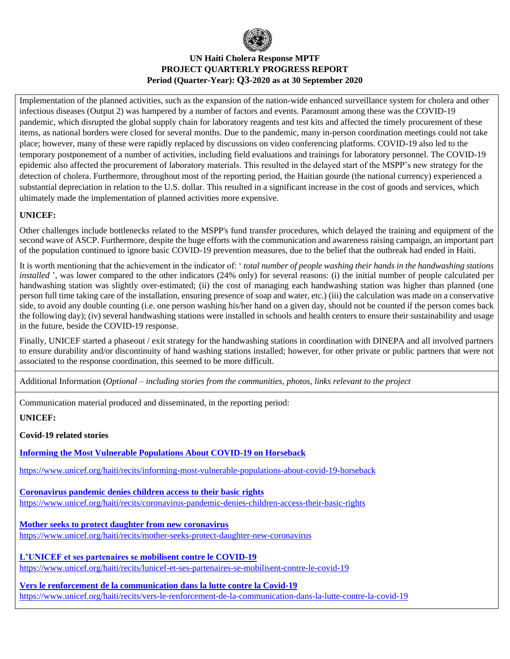

Implementation of the planned activities, such as the expansion of the nation-wide enhanced surveillance system for cholera and other infectious diseases (Output 2) was hampered by a number of factors and events. Paramount among these was the COVID-19 pandemic, which disrupted the global supply chain for laboratory reagents and test kits and affected the timely procurement of these items, as national borders were closed for several months. Due to the pandemic, many in-person coordination meetings could not take place; however, many of these were rapidly replaced by discussions on video conferencing platforms. COVID-19 also led to the temporary postponement of a number of activities, including field evaluations and trainings for laboratory personnel. The COVID-19 epidemic also affected the procurement of laboratory materials. This resulted in the delayed start of the MSPP's new strategy for the detection of cholera. Furthermore, throughout most of the reporting period, the Haitian gourde (the national currency) experienced a substantial depreciation in relation to the U.S. dollar. This resulted in a significant increase in the cost of goods and services, which ultimately made the implementation of planned activities more expensive.

# **UNICEF:**

Other challenges include bottlenecks related to the MSPP's fund transfer procedures, which delayed the training and equipment of the second wave of ASCP. Furthermore, despite the huge efforts with the communication and awareness raising campaign, an important part of the population continued to ignore basic COVID-19 prevention measures, due to the belief that the outbreak had ended in Haiti.

It is worth mentioning that the achievement in the indicator of: ' *total number of people washing their hands in the handwashing stations installed* ', was lower compared to the other indicators (24% only) for several reasons: (i) the initial number of people calculated per handwashing station was slightly over-estimated; (ii) the cost of managing each handwashing station was higher than planned (one person full time taking care of the installation, ensuring presence of soap and water, etc.) (iii) the calculation was made on a conservative side, to avoid any double counting (i.e. one person washing his/her hand on a given day, should not be counted if the person comes back the following day); (iv) several handwashing stations were installed in schools and health centers to ensure their sustainability and usage in the future, beside the COVID-19 response.

Finally, UNICEF started a phaseout / exit strategy for the handwashing stations in coordination with DINEPA and all involved partners to ensure durability and/or discontinuity of hand washing stations installed; however, for other private or public partners that were not associated to the response coordination, this seemed to be more difficult.

Additional Information (*Optional – including stories from the communities, photos, links relevant to the project*

Communication material produced and disseminated, in the reporting period:

#### **UNICEF:**

#### **Covid-19 related stories**

**Informing the Most Vulnerable Populations About COVID-19 on Horseback**

<https://www.unicef.org/haiti/recits/informing-most-vulnerable-populations-about-covid-19-horseback>

**Coronavirus pandemic denies children access to their basic rights** <https://www.unicef.org/haiti/recits/coronavirus-pandemic-denies-children-access-their-basic-rights>

**Mother seeks to protect daughter from new coronavirus** <https://www.unicef.org/haiti/recits/mother-seeks-protect-daughter-new-coronavirus>

**L'UNICEF et ses partenaires se mobilisent contre le COVID-19** <https://www.unicef.org/haiti/recits/lunicef-et-ses-partenaires-se-mobilisent-contre-le-covid-19>

**Vers le renforcement de la communication dans la lutte contre la Covid-19** <https://www.unicef.org/haiti/recits/vers-le-renforcement-de-la-communication-dans-la-lutte-contre-la-covid-19>